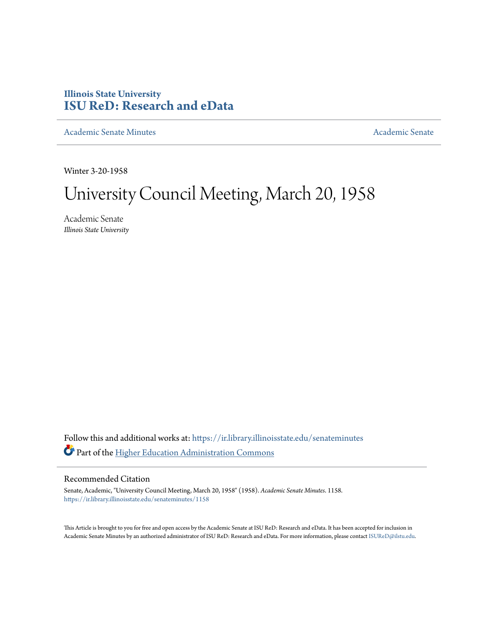## **Illinois State University [ISU ReD: Research and eData](https://ir.library.illinoisstate.edu?utm_source=ir.library.illinoisstate.edu%2Fsenateminutes%2F1158&utm_medium=PDF&utm_campaign=PDFCoverPages)**

[Academic Senate Minutes](https://ir.library.illinoisstate.edu/senateminutes?utm_source=ir.library.illinoisstate.edu%2Fsenateminutes%2F1158&utm_medium=PDF&utm_campaign=PDFCoverPages) [Academic Senate](https://ir.library.illinoisstate.edu/senate?utm_source=ir.library.illinoisstate.edu%2Fsenateminutes%2F1158&utm_medium=PDF&utm_campaign=PDFCoverPages) Academic Senate

Winter 3-20-1958

# University Council Meeting, March 20, 1958

Academic Senate *Illinois State University*

Follow this and additional works at: [https://ir.library.illinoisstate.edu/senateminutes](https://ir.library.illinoisstate.edu/senateminutes?utm_source=ir.library.illinoisstate.edu%2Fsenateminutes%2F1158&utm_medium=PDF&utm_campaign=PDFCoverPages) Part of the [Higher Education Administration Commons](http://network.bepress.com/hgg/discipline/791?utm_source=ir.library.illinoisstate.edu%2Fsenateminutes%2F1158&utm_medium=PDF&utm_campaign=PDFCoverPages)

### Recommended Citation

Senate, Academic, "University Council Meeting, March 20, 1958" (1958). *Academic Senate Minutes*. 1158. [https://ir.library.illinoisstate.edu/senateminutes/1158](https://ir.library.illinoisstate.edu/senateminutes/1158?utm_source=ir.library.illinoisstate.edu%2Fsenateminutes%2F1158&utm_medium=PDF&utm_campaign=PDFCoverPages)

This Article is brought to you for free and open access by the Academic Senate at ISU ReD: Research and eData. It has been accepted for inclusion in Academic Senate Minutes by an authorized administrator of ISU ReD: Research and eData. For more information, please contact [ISUReD@ilstu.edu.](mailto:ISUReD@ilstu.edu)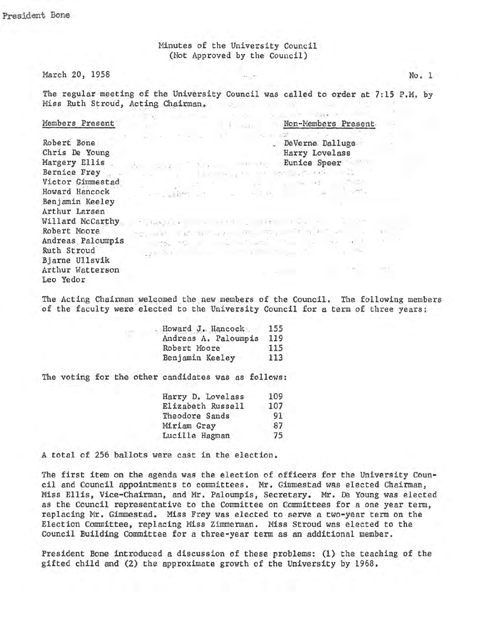Minutes of the University Council (Not Approved by the Council)

#### March 20, 1958

The regular meeting of the University Council was called to order at 7:15 P.M. by Miss Ruth Stroud, Acting Chairman,  $\mathcal{P}$  and  $\mathcal{P}$  are the set of  $\mathcal{P}$ School Sale of the County

 $=$   $\frac{1}{2}$   $\cdots$ 

see the complete of an advance at

 $\label{eq:2.1} -\mathbb{E} \xi_1 \approx \mathbb{P}^1 \qquad \mathbb{R}^1 \quad \text{for} \quad \forall \, t \qquad 0 \; , \quad \mathbb{E} \xi_1 \; , \quad \mathbb{E} \quad \eta \; \mathbb{E} \quad \mathbb{E} \quad \quad \ \ ,$ 

the page of the control of the control of the control of the control of the control of the control of the control of the control of the control of the control of the control of the control of the control of the control of

 $\label{eq:3.1} \begin{array}{cccccccccc} \mathbb{P}^1 & \mathbb{P}^1 & \mathbb{P}^1 & \mathbb{P}^2 & \mathbb{P}^2 & \mathbb{P}^2 & \mathbb{P}^2 \\ \mathbb{P}^2 & \mathbb{P}^1 & \mathbb{P}^1 & \mathbb{P}^2 & \mathbb{P}^2 & \mathbb{P}^2 & \mathbb{P}^2 & \mathbb{P}^2 \\ \mathbb{P}^2 & \mathbb{P}^1 & \mathbb{P}^2 & \mathbb{P}^1 & \mathbb{P}^2 & \mathbb{P}^2 & \mathbb{P}^2 & \mathbb{$ 

with the state of the state of the state of

Non-Members Present

. DeVerne Dalluge.

Harry Lovelass

Eunice Speer

#### Members Present

Robert Bone Chris De Young Margery Ellis Bernice Frey Victor Gimmestad Howard Hancock Benjamin Keeley Arthur Larsen Willard McCarthy Francisco Communication of the Communication Robert Moore Andreas Paloumpis Ruth Stroud Bjarne Ullsvik Arthur Watterson Leo Yedor

The Acting Chairman welcomed the new members of the Council. The following members of the faculty were elected to the University Council for a term of three years:

| Howard J. Hancock    | 155 |
|----------------------|-----|
| Andreas A. Paloumpis | 119 |
| Robert Moore         | 115 |
| Benjamin Keeley      | 113 |

**CONTRACTOR** CONTRACTOR

The voting for the other candidates was as follows:

 $\omega$  .

 $-11^{-}$ 

**COLLECTION** 

| Harry D. Lovelass | 109 |
|-------------------|-----|
| Elizabeth Russell | 107 |
| Theodore Sands    | 91  |
| Miriam Gray       | 87  |
| Lucille Hagman    | 75  |

A total of 256 ballots were cast in the election.

The first item on the agenda was the election of officers for the University Council and Council appointments to committees. Mr. Gimmestad was elected Chairman, Miss Ellis, Vice-Chairman, and Mr. Paloumpis, Secretary. Mr. De Young was elected as the Council representative to the Committee on Committees for a one year term, replacing Mr. Gimmestad. Miss Frey was elected to serve a two-year term on the Election Committee, replacing Miss Zimmerman. Miss Stroud was elected to the Council Building Committee for a three-year term as an additional member.

President Bone introduced a discussion of these problems: (1) the teaching of the gifted child and (2) the approximate growth of the University by 1968.

 $No. 1$ 

 $-31$ 

 $\sim 100\,R$